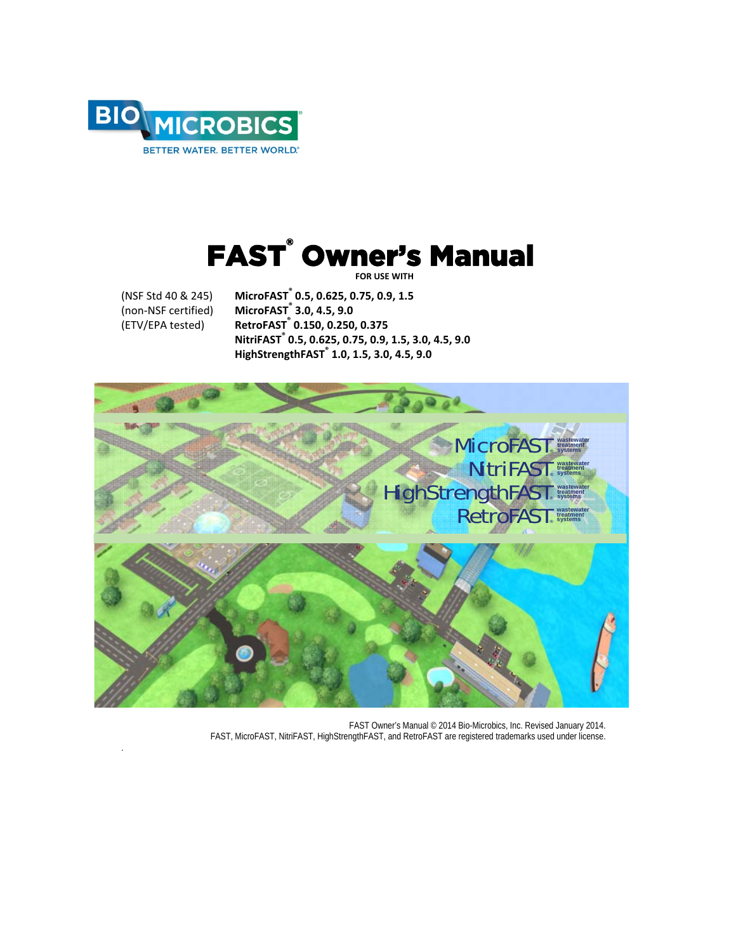

## FAST<sup>®</sup> Owner's Manual  **FOR USE WITH**

.

(NSF Std 40 & 245) **MicroFAST® 0.5, 0.625, 0.75, 0.9, 1.5** (non‐NSF certified) **MicroFAST® 3.0, 4.5, 9.0** (ETV/EPA tested) **RetroFAST® 0.150, 0.250, 0.375 NitriFAST® 0.5, 0.625, 0.75, 0.9, 1.5, 3.0, 4.5, 9.0 HighStrengthFAST® 1.0, 1.5, 3.0, 4.5, 9.0** 



FAST Owner's Manual © 2014 Bio-Microbics, Inc. Revised January 2014. FAST, MicroFAST, NitriFAST, HighStrengthFAST, and RetroFAST are registered trademarks used under license.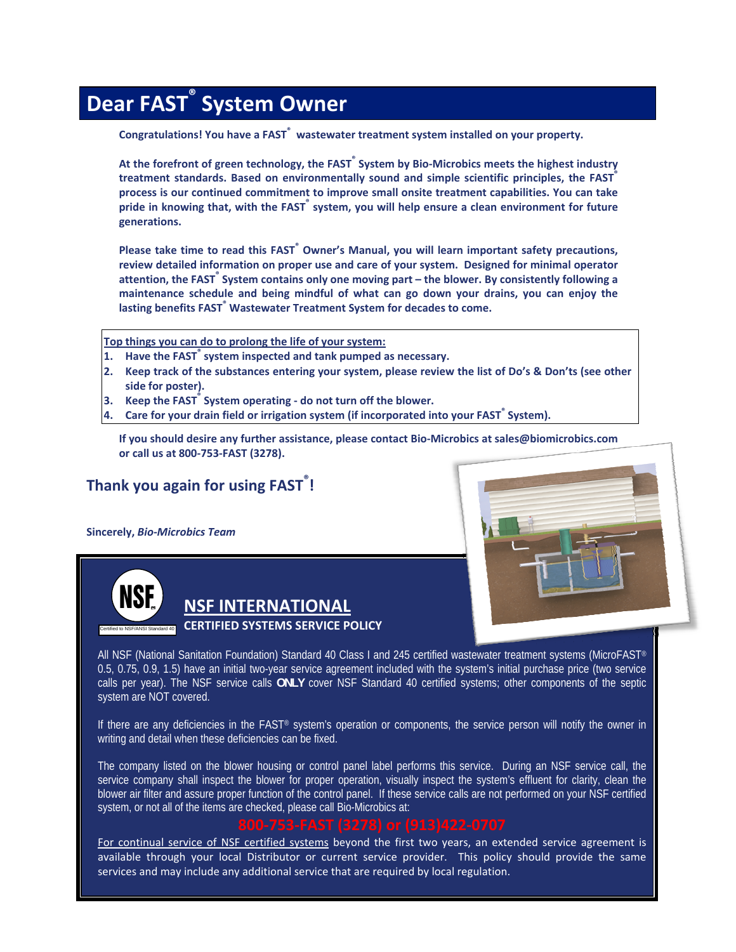# **Dear FAST ® System Owner**

**Congratulations! You have a FAST® wastewater treatment system installed on your property.** 

**At the forefront of green technology, the FAST® System by Bio‐Microbics meets the highest industry treatment standards. Based on environmentally sound and simple scientific principles, the FAST® process is our continued commitment to improve small onsite treatment capabilities. You can take pride in knowing that, with the FAST® system, you will help ensure a clean environment for future generations.**

**Please take time to read this FAST® Owner's Manual, you will learn important safety precautions, review detailed information on proper use and care of your system. Designed for minimal operator attention, the FAST® System contains only one moving part – the blower. By consistently following a maintenance schedule and being mindful of what can go down your drains, you can enjoy the lasting benefits FAST® Wastewater Treatment System for decades to come.**

**Top things you can do to prolong the life of your system:**

- **1. Have the FAST® system inspected and tank pumped as necessary.**
- 2. Keep track of the substances entering your system, please review the list of Do's & Don'ts (see other **side for poster).**
- **3. Keep the FAST® System operating ‐ do not turn off the blower.**
- **4. Care for your drain field or irrigation system (if incorporated into your FAST® System).**

**If you should desire any further assistance, please contact Bio‐Microbics at sales@biomicrobics.com or call us at 800‐753‐FAST (3278).**

## **Thank you again for using FAST® !**

**Sincerely,** *Bio‐Microbics Team*



## **NSF INTERNATIONAL**

#### **CERTIFIED SYSTEMS SERVICE POLICY**

All NSF (National Sanitation Foundation) Standard 40 Class I and 245 certified wastewater treatment systems (MicroFAST® 0.5, 0.75, 0.9, 1.5) have an initial two-year service agreement included with the system's initial purchase price (two service calls per year). The NSF service calls **ONLY** cover NSF Standard 40 certified systems; other components of the septic system are NOT covered.

If there are any deficiencies in the FAST® system's operation or components, the service person will notify the owner in writing and detail when these deficiencies can be fixed.

The company listed on the blower housing or control panel label performs this service. During an NSF service call, the service company shall inspect the blower for proper operation, visually inspect the system's effluent for clarity, clean the blower air filter and assure proper function of the control panel. If these service calls are not performed on your NSF certified system, or not all of the items are checked, please call Bio-Microbics at:

For continual service of NSF certified systems beyond the first two years, an extended service agreement is available through your local Distributor or current service provider. This policy should provide the same services and may include any additional service that are required by local regulation.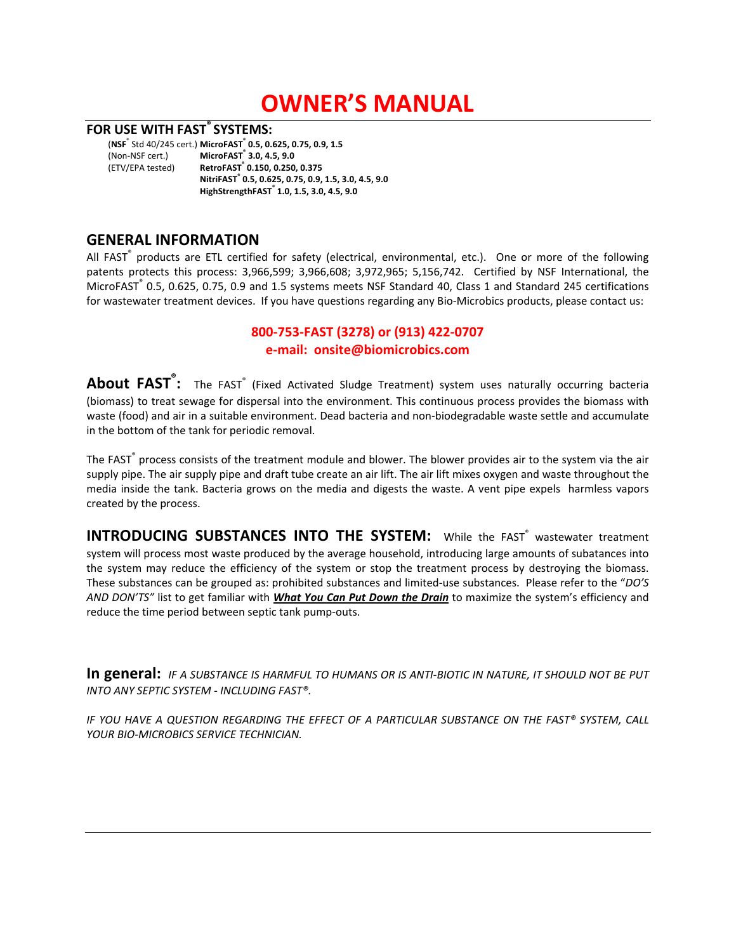# **OWNER'S MANUAL**

#### **FOR USE WITH FAST® SYSTEMS:**

(**NSF**® Std 40/245 cert.) **MicroFAST® 0.5, 0.625, 0.75, 0.9, 1.5**  $MicroFAST^"$  3.0, 4.5, 9.0 (ETV/EPA tested) **RetroFAST® 0.150, 0.250, 0.375 NitriFAST® 0.5, 0.625, 0.75, 0.9, 1.5, 3.0, 4.5, 9.0 HighStrengthFAST® 1.0, 1.5, 3.0, 4.5, 9.0** 

### **GENERAL INFORMATION**

All FAST<sup>®</sup> products are ETL certified for safety (electrical, environmental, etc.). One or more of the following patents protects this process: 3,966,599; 3,966,608; 3,972,965; 5,156,742. Certified by NSF International, the MicroFAST® 0.5, 0.625, 0.75, 0.9 and 1.5 systems meets NSF Standard 40, Class 1 and Standard 245 certifications for wastewater treatment devices. If you have questions regarding any Bio‐Microbics products, please contact us: 

## **800‐753‐FAST (3278) or (913) 422‐0707 e‐mail: onsite@biomicrobics.com**

**About FAST® :** The FAST® (Fixed Activated Sludge Treatment) system uses naturally occurring bacteria (biomass) to treat sewage for dispersal into the environment. This continuous process provides the biomass with waste (food) and air in a suitable environment. Dead bacteria and non‐biodegradable waste settle and accumulate in the bottom of the tank for periodic removal.

The FAST<sup>®</sup> process consists of the treatment module and blower. The blower provides air to the system via the air supply pipe. The air supply pipe and draft tube create an air lift. The air lift mixes oxygen and waste throughout the media inside the tank. Bacteria grows on the media and digests the waste. A vent pipe expels harmless vapors created by the process.

**INTRODUCING SUBSTANCES INTO THE SYSTEM:** While the FAST<sup>®</sup> wastewater treatment system will process most waste produced by the average household, introducing large amounts of subatances into the system may reduce the efficiency of the system or stop the treatment process by destroying the biomass. These substances can be grouped as: prohibited substances and limited‐use substances. Please refer to the "*DO'S AND DON'TS"* list to get familiar with *What You Can Put Down the Drain* to maximize the system's efficiency and reduce the time period between septic tank pump‐outs.

In general: IF A SUBSTANCE IS HARMFUL TO HUMANS OR IS ANTI-BIOTIC IN NATURE, IT SHOULD NOT BE PUT *INTO ANY SEPTIC SYSTEM ‐ INCLUDING FAST®.* 

*IF YOU HAVE A QUESTION REGARDING THE EFFECT OF A PARTICULAR SUBSTANCE ON THE FAST® SYSTEM, CALL YOUR BIO‐MICROBICS SERVICE TECHNICIAN.*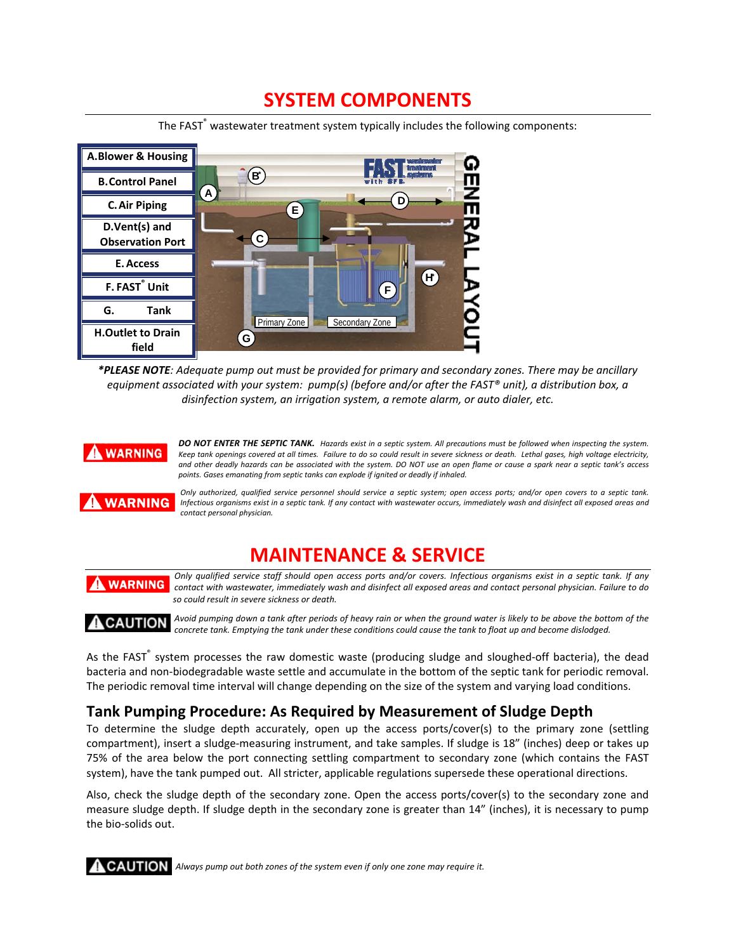## **SYSTEM COMPONENTS**

The FAST<sup>®</sup> wastewater treatment system typically includes the following components:



\*PLEASE NOTE: Adequate pump out must be provided for primary and secondary zones. There may be ancillary equipment associated with your system:  $pump(s)$  (before and/or after the FAST® unit), a distribution box, a *disinfection system, an irrigation system, a remote alarm, or auto dialer, etc.*



DO NOT ENTER THE SEPTIC TANK. Hazards exist in a septic system. All precautions must be followed when inspecting the system. Keep tank openings covered at all times. Failure to do so could result in severe sickness or death. Lethal gases, high voltage electricity, and other deadly hazards can be associated with the system. DO NOT use an open flame or cause a spark near a septic tank's access *points. Gases emanating from septic tanks can explode if ignited or deadly if inhaled.*



Only authorized, qualified service personnel should service a septic system; open access ports; and/or open covers to a septic tank. Infectious organisms exist in a septic tank. If any contact with wastewater occurs, immediately wash and disinfect all exposed areas and *contact personal physician.* 

## **MAINTENANCE & SERVICE**

Only qualified service staff should open access ports and/or covers. Infectious organisms exist in a septic tank. If any **WARNING** contact with wastewater, immediately wash and disinfect all exposed areas and contact personal physician. Failure to do *so could result in severe sickness or death.* 

Avoid pumping down a tank after periods of heavy rain or when the ground water is likely to be above the bottom of the **A** CAUTION concrete tank. Emptying the tank under these conditions could cause the tank to float up and become dislodged.

As the FAST<sup>®</sup> system processes the raw domestic waste (producing sludge and sloughed-off bacteria), the dead bacteria and non‐biodegradable waste settle and accumulate in the bottom of the septic tank for periodic removal. The periodic removal time interval will change depending on the size of the system and varying load conditions.

## **Tank Pumping Procedure: As Required by Measurement of Sludge Depth**

To determine the sludge depth accurately, open up the access ports/cover(s) to the primary zone (settling compartment), insert a sludge-measuring instrument, and take samples. If sludge is 18" (inches) deep or takes up 75% of the area below the port connecting settling compartment to secondary zone (which contains the FAST system), have the tank pumped out. All stricter, applicable regulations supersede these operational directions.

Also, check the sludge depth of the secondary zone. Open the access ports/cover(s) to the secondary zone and measure sludge depth. If sludge depth in the secondary zone is greater than 14" (inches), it is necessary to pump the bio‐solids out.

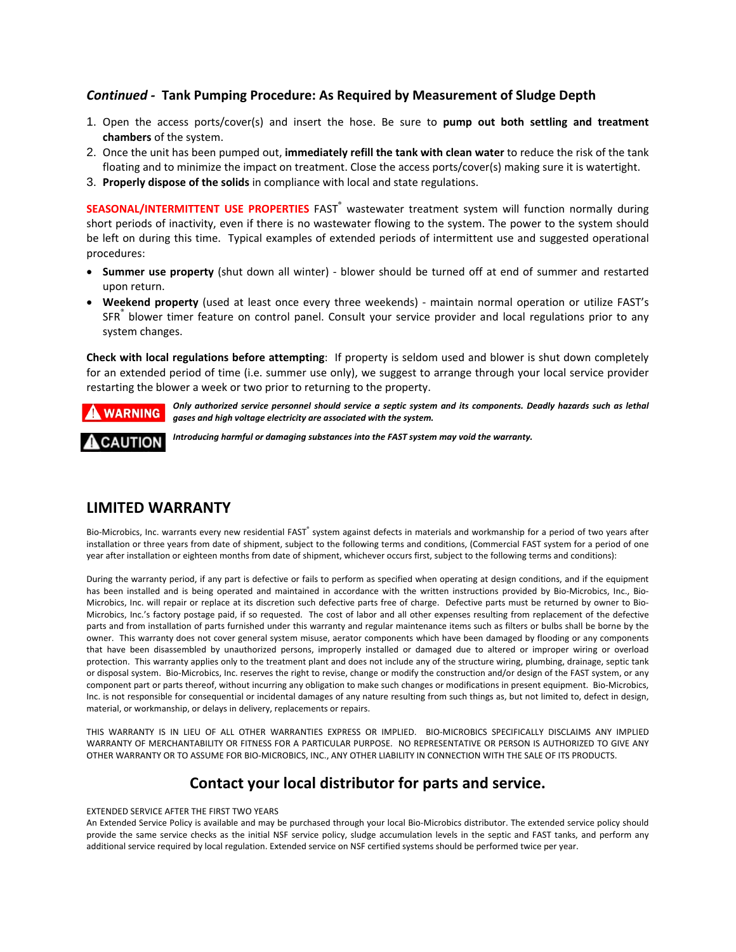#### *Continued ‐* **Tank Pumping Procedure: As Required by Measurement of Sludge Depth**

- 1. Open the access ports/cover(s) and insert the hose. Be sure to **pump out both settling and treatment chambers** of the system.
- 2. Once the unit has been pumped out, **immediately refill the tank with clean water** to reduce the risk of the tank floating and to minimize the impact on treatment. Close the access ports/cover(s) making sure it is watertight.
- 3. **Properly dispose of the solids** in compliance with local and state regulations.

**SEASONAL/INTERMITTENT USE PROPERTIES** FAST® wastewater treatment system will function normally during short periods of inactivity, even if there is no wastewater flowing to the system. The power to the system should be left on during this time. Typical examples of extended periods of intermittent use and suggested operational procedures:

- **Summer use property** (shut down all winter) ‐ blower should be turned off at end of summer and restarted upon return.
- **Weekend property** (used at least once every three weekends) ‐ maintain normal operation or utilize FAST's SFR<sup>®</sup> blower timer feature on control panel. Consult your service provider and local regulations prior to any system changes.

**Check with local regulations before attempting**: If property is seldom used and blower is shut down completely for an extended period of time (i.e. summer use only), we suggest to arrange through your local service provider restarting the blower a week or two prior to returning to the property.

### **WARNING**

Only authorized service personnel should service a septic system and its components. Deadly hazards such as lethal *gases and high voltage electricity are associated with the system.* 

## **CAUTION**

*Introducing harmful or damaging substances into the FAST system may void the warranty.*

## **LIMITED WARRANTY**

Bio-Microbics, Inc. warrants every new residential FAST® system against defects in materials and workmanship for a period of two years after installation or three years from date of shipment, subject to the following terms and conditions, (Commercial FAST system for a period of one year after installation or eighteen months from date of shipment, whichever occurs first, subject to the following terms and conditions):

During the warranty period, if any part is defective or fails to perform as specified when operating at design conditions, and if the equipment has been installed and is being operated and maintained in accordance with the written instructions provided by Bio-Microbics, Inc., Bio-Microbics, Inc. will repair or replace at its discretion such defective parts free of charge. Defective parts must be returned by owner to Bio-Microbics, Inc.'s factory postage paid, if so requested. The cost of labor and all other expenses resulting from replacement of the defective parts and from installation of parts furnished under this warranty and regular maintenance items such as filters or bulbs shall be borne by the owner. This warranty does not cover general system misuse, aerator components which have been damaged by flooding or any components that have been disassembled by unauthorized persons, improperly installed or damaged due to altered or improper wiring or overload protection. This warranty applies only to the treatment plant and does not include any of the structure wiring, plumbing, drainage, septic tank or disposal system. Bio‐Microbics, Inc. reserves the right to revise, change or modify the construction and/or design of the FAST system, or any component part or parts thereof, without incurring any obligation to make such changes or modifications in present equipment. Bio‐Microbics, Inc. is not responsible for consequential or incidental damages of any nature resulting from such things as, but not limited to, defect in design, material, or workmanship, or delays in delivery, replacements or repairs.

THIS WARRANTY IS IN LIEU OF ALL OTHER WARRANTIES EXPRESS OR IMPLIED. BIO‐MICROBICS SPECIFICALLY DISCLAIMS ANY IMPLIED WARRANTY OF MERCHANTABILITY OR FITNESS FOR A PARTICULAR PURPOSE. NO REPRESENTATIVE OR PERSON IS AUTHORIZED TO GIVE ANY OTHER WARRANTY OR TO ASSUME FOR BIO‐MICROBICS, INC., ANY OTHER LIABILITY IN CONNECTION WITH THE SALE OF ITS PRODUCTS.

## **Contact your local distributor for parts and service.**

EXTENDED SERVICE AFTER THE FIRST TWO YEARS

An Extended Service Policy is available and may be purchased through your local Bio‐Microbics distributor. The extended service policy should provide the same service checks as the initial NSF service policy, sludge accumulation levels in the septic and FAST tanks, and perform any additional service required by local regulation. Extended service on NSF certified systems should be performed twice per year.